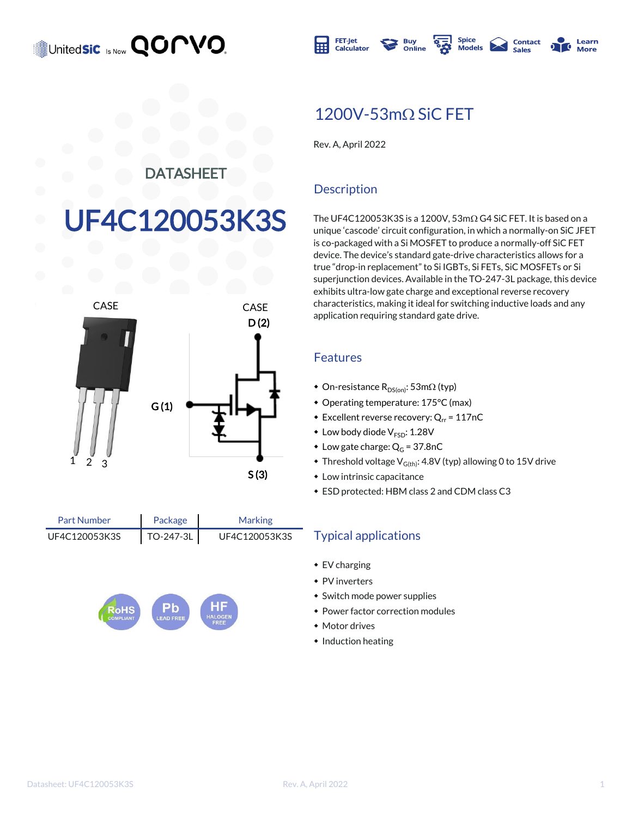United**sic** Is Now **QOMVO** 



### $1200V - 53m\Omega$  SiC FET

Rev. A, April 2022

#### DATASHEET

# F4C120053K3S



Package UF4C120053K3S | TO-247-3L | UF4C120053K3S Part Number



#### **Description**

The UF4C120053K3S is a 1200V,  $53 \text{m}\Omega$  G4 SiC FET. It is based on a unique 'cascode' circuit configuration, in which a normally-on SiC JFET is co-packaged with a Si MOSFET to produce a normally-off SiC FET device. The device's standard gate-drive characteristics allows for a true "drop-in replacement" to Si IGBTs, Si FETs, SiC MOSFETs or Si superjunction devices. Available in the TO-247-3L package, this device exhibits ultra-low gate charge and exceptional reverse recovery characteristics, making it ideal for switching inductive loads and any application requiring standard gate drive.

#### Features

- On-resistance  $R_{DS(on)}$ : 53m $\Omega$  (typ)
- Operating temperature: 175°C (max)
- Excellent reverse recovery:  $Q_{rr}$  = 117nC
- $\bullet$  Low body diode  $V_{ESD}$ : 1.28V
- Low gate charge:  $Q_G = 37.8$ nC
- $\bullet$  Threshold voltage V<sub>G(th)</sub>: 4.8V (typ) allowing 0 to 15V drive
- $\bullet$  Low intrinsic capacitance
- $\bullet$  ESD protected: HBM class 2 and CDM class C3

#### TO-247-3L UF4C120053K3S Typical applications

 $\bullet$  EV charging

Marking

- $\bullet$  PV inverters
- $\bullet$  Switch mode power supplies
- Power factor correction modules
- $*$  Motor drives
- $\bullet$  Induction heating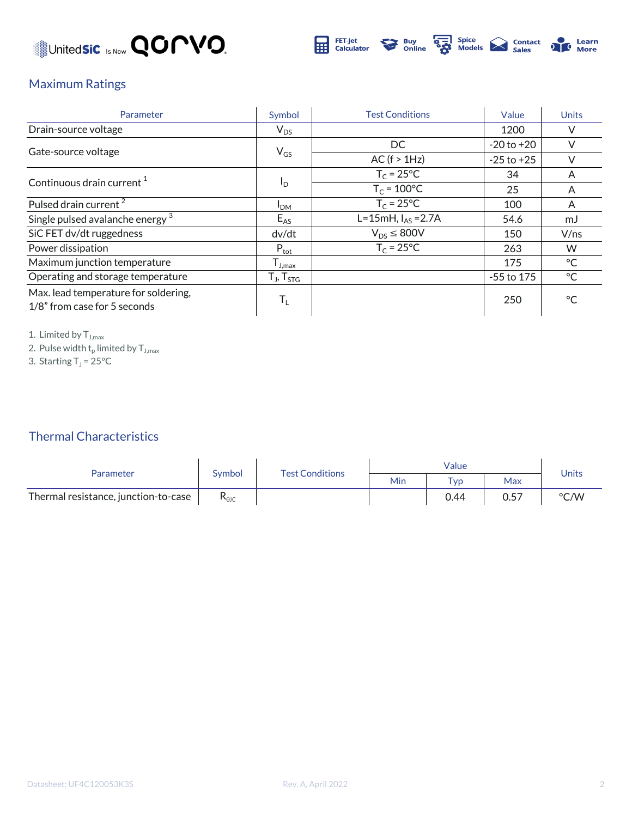



#### Maximum Ratings

| Parameter                                                            | Symbol                                  | <b>Test Conditions</b> | Value          | <b>Units</b> |
|----------------------------------------------------------------------|-----------------------------------------|------------------------|----------------|--------------|
| Drain-source voltage                                                 | $V_{DS}$                                |                        | 1200           | V            |
|                                                                      |                                         | DC.                    | $-20$ to $+20$ | V            |
| Gate-source voltage                                                  | $V_{GS}$                                | AC (f > 1Hz)           | $-25$ to $+25$ | $\vee$       |
| Continuous drain current <sup>1</sup>                                |                                         | $T_c = 25$ °C          | 34             | A            |
|                                                                      | $I_{\text{D}}$                          | $T_c = 100^{\circ}C$   | 25             | A            |
| Pulsed drain current <sup>2</sup>                                    | I <sub>DM</sub>                         | $T_c = 25$ °C          | 100            | A            |
| Single pulsed avalanche energy <sup>3</sup>                          | $E_{AS}$                                | L=15mH, $I_{AS}$ =2.7A | 54.6           | mJ           |
| SiC FET dv/dt ruggedness                                             | dv/dt                                   | $V_{DS} \leq 800V$     | 150            | V/ns         |
| Power dissipation                                                    | $P_{\text{tot}}$                        | $T_c = 25$ °C          | 263            | W            |
| Maximum junction temperature                                         | ${\mathsf T}_{\mathsf J, \mathsf{max}}$ |                        | 175            | $^{\circ}$ C |
| Operating and storage temperature                                    | $T_{J}$ , $T_{STG}$                     |                        | $-55$ to 175   | °C           |
| Max. lead temperature for soldering,<br>1/8" from case for 5 seconds | $T_{L}$                                 |                        | 250            | $^{\circ}$ C |

1. Limited by  $T_{J,max}$ 

2. Pulse width  $\mathsf{t}_\mathsf{p}$  limited by  $\mathsf{T}_{\mathsf{J},\mathsf{max}}$ 

3. Starting  $T_J$  = 25°C

#### Thermal Characteristics

| Parameter                            | Symbol                         | <b>Test Conditions</b> | Value |             |      | <b>Units</b> |
|--------------------------------------|--------------------------------|------------------------|-------|-------------|------|--------------|
|                                      |                                |                        | Min   | $\tau_{VD}$ | Max  |              |
| Thermal resistance, junction-to-case | $\mathsf{R}_{\theta\text{JC}}$ |                        |       | 0.44        | 0.57 | °C/W         |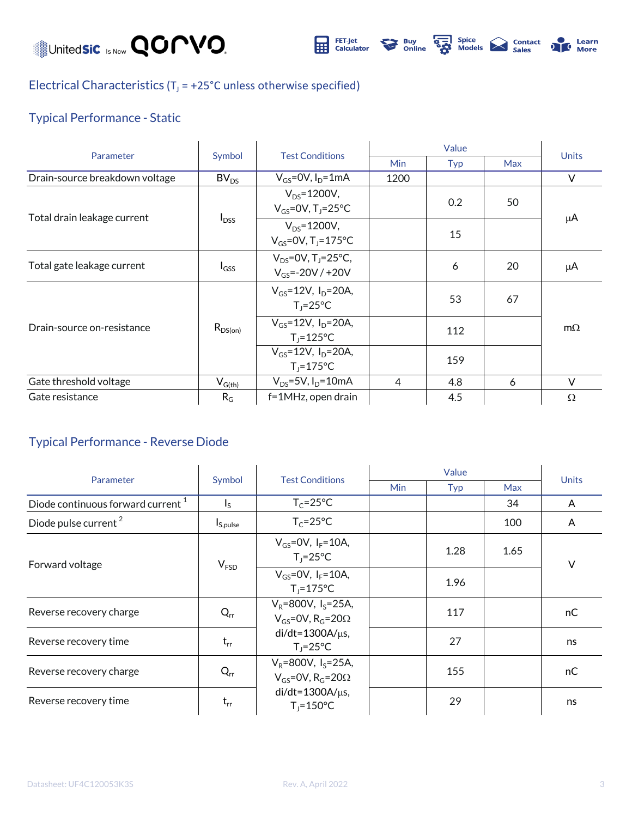

**DEL** Spice<br>
Models **Delander**<br>
Sales Learn<br>More

#### Electrical Characteristics ( $T_J$  = +25°C unless otherwise specified)

#### Typical Performance - Static

| Parameter                      | Symbol       | <b>Test Conditions</b>                                          |            |     |            |              |
|--------------------------------|--------------|-----------------------------------------------------------------|------------|-----|------------|--------------|
|                                |              |                                                                 | <b>Min</b> | Typ | <b>Max</b> | <b>Units</b> |
| Drain-source breakdown voltage | $BV_{DS}$    | $V_{GS}$ =0V, $I_D$ =1mA                                        | 1200       |     |            | $\vee$       |
| Total drain leakage current    | $I_{DSS}$    | $V_{DS} = 1200V$ ,<br>$V_{GS}$ =0V, T <sub>J</sub> =25°C        |            | 0.2 | 50         | μA           |
|                                |              | $V_{DS} = 1200V,$<br>$V_{GS} = 0V$ , T <sub>J</sub> =175°C      |            | 15  |            |              |
| Total gate leakage current     | $I_{GSS}$    | $V_{DS} = 0V$ , T <sub>1</sub> =25°C,<br>$V_{GS} = -20V / +20V$ |            | 6   | 20         | μA           |
| Drain-source on-resistance     | $R_{DS(on)}$ | $V_{GS} = 12V$ , $I_{D} = 20A$ ,<br>$T_1 = 25^{\circ}C$         |            | 53  | 67         |              |
|                                |              | $V_{GS} = 12V$ , $I_D = 20A$ ,<br>$T_i = 125$ °C                |            | 112 |            | $m\Omega$    |
|                                |              | $V_{GS} = 12V$ , $I_D = 20A$ ,<br>$T_j = 175$ °C                |            | 159 |            |              |
| Gate threshold voltage         | $V_{G(th)}$  | $V_{DS} = 5V$ , $I_D = 10mA$                                    | 4          | 4.8 | 6          | $\vee$       |
| Gate resistance                | $R_G$        | f=1MHz, open drain                                              |            | 4.5 |            | $\Omega$     |

#### Typical Performance - Reverse Diode

| Parameter                                     | Symbol                    | <b>Test Conditions</b>                                                           | Value      |      |            | <b>Units</b> |
|-----------------------------------------------|---------------------------|----------------------------------------------------------------------------------|------------|------|------------|--------------|
|                                               |                           |                                                                                  | <b>Min</b> | Typ  | <b>Max</b> |              |
| Diode continuous forward current <sup>1</sup> | $\mathsf{I}_{\mathsf{S}}$ | $T_c = 25^{\circ}C$                                                              |            |      | 34         | A            |
| Diode pulse current <sup>2</sup>              | I <sub>S,pulse</sub>      | $T_c = 25^{\circ}C$                                                              |            |      | 100        | A            |
| Forward voltage                               | V <sub>FSD</sub>          | $V_{GS} = 0V$ , $I_F = 10A$ ,<br>$T_i = 25^{\circ}C$                             |            | 1.28 | 1.65       | $\vee$       |
|                                               |                           | $V_{GS}$ =0V, $I_F$ =10A,<br>$T_i = 175^{\circ}C$                                |            | 1.96 |            |              |
| Reverse recovery charge                       | $Q_{rr}$                  | $V_R = 800V$ , $I_S = 25A$ ,<br>$V_{GS}$ =0V, R <sub>G</sub> =20 $\Omega$        |            | 117  |            | nC           |
| Reverse recovery time                         | $t_{rr}$                  | $di/dt = 1300A/\mu s$ ,<br>$T_i = 25^{\circ}C$                                   |            | 27   |            | ns           |
| Reverse recovery charge                       | $Q_{rr}$                  | $V_R = 800V$ , I <sub>s</sub> =25A,<br>$V_{GS}$ =0V, R <sub>G</sub> =20 $\Omega$ |            | 155  |            | nC           |
| Reverse recovery time                         | $t_{rr}$                  | $di/dt = 1300A/\mu s$ ,<br>$T_i = 150^{\circ}C$                                  |            | 29   |            | ns           |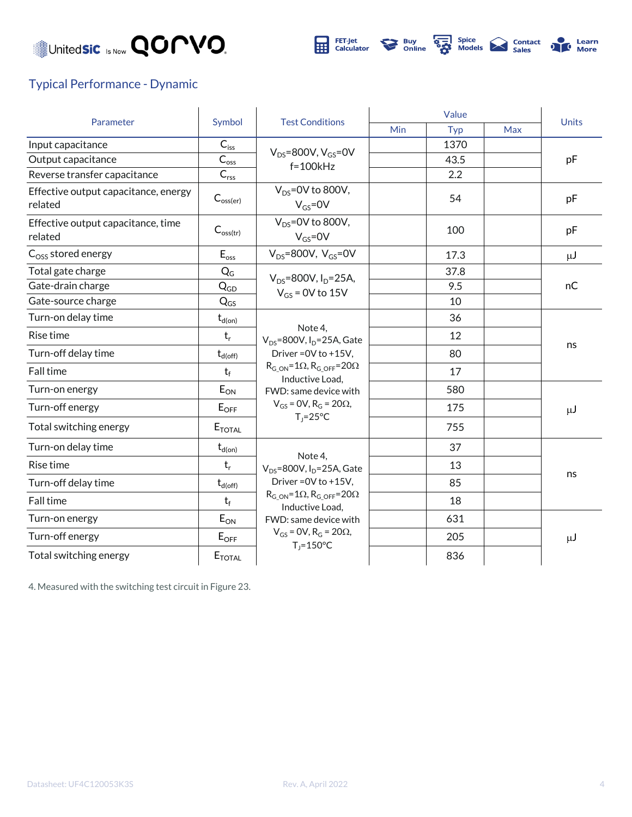



#### Typical Performance - Dynamic

| Parameter                                       | Symbol                     | <b>Test Conditions</b>                                                                                                                                                    | Value |      |            |              |
|-------------------------------------------------|----------------------------|---------------------------------------------------------------------------------------------------------------------------------------------------------------------------|-------|------|------------|--------------|
|                                                 |                            |                                                                                                                                                                           | Min   | Typ  | <b>Max</b> | <b>Units</b> |
| Input capacitance                               | $C_{iss}$                  | $V_{DS}$ =800V, $V_{GS}$ =0V<br>$f = 100k$ Hz                                                                                                                             |       | 1370 |            |              |
| Output capacitance                              | $C_{\text{o}}$             |                                                                                                                                                                           |       | 43.5 |            | pF           |
| Reverse transfer capacitance                    | $C_{\mathsf{rss}}$         |                                                                                                                                                                           |       | 2.2  |            |              |
| Effective output capacitance, energy<br>related | $C_{\text{oss(er)}}$       | $V_{DS}$ =0V to 800V,<br>$V_{GS} = 0V$                                                                                                                                    |       | 54   |            | pF           |
| Effective output capacitance, time<br>related   | $C_{\text{oss(tr)}}$       | $V_{DS} = 0V$ to 800V,<br>$V_{GS} = 0V$                                                                                                                                   |       | 100  |            | pF           |
| $Coss$ stored energy                            | $E_{\text{oss}}$           | $V_{DS}$ =800V, $V_{GS}$ =0V                                                                                                                                              |       | 17.3 |            | $\mu$ J      |
| Total gate charge                               | $Q_G$                      | $V_{DS} = 800V, I_D = 25A,$                                                                                                                                               |       | 37.8 |            | nC           |
| Gate-drain charge                               | $Q_{GD}$                   | $V_{GS}$ = 0V to 15V                                                                                                                                                      |       | 9.5  |            |              |
| Gate-source charge                              | $\mathsf{Q}_{\mathsf{GS}}$ |                                                                                                                                                                           |       | 10   |            |              |
| Turn-on delay time                              | $t_{d(on)}$                |                                                                                                                                                                           |       | 36   |            | ns           |
| Rise time                                       | $t_{r}$                    | Note 4,<br>$V_{DS}$ =800V, I <sub>D</sub> =25A, Gate<br>Driver = 0V to +15V,                                                                                              |       | 12   |            |              |
| Turn-off delay time                             | $t_{d(\rm off)}$           |                                                                                                                                                                           |       | 80   |            |              |
| <b>Fall time</b>                                | $t_f$                      | $R_{G ON} = 1\Omega$ , $R_{G OFF} = 20\Omega$<br>Inductive Load,                                                                                                          |       | 17   |            |              |
| Turn-on energy                                  | $E_{ON}$                   | FWD: same device with                                                                                                                                                     |       | 580  |            | μJ           |
| Turn-off energy                                 | $E_{OFF}$                  | $V_{GS}$ = 0V, R <sub>G</sub> = 20 $\Omega$ ,                                                                                                                             |       | 175  |            |              |
| Total switching energy                          | $E_{\text{TOTAL}}$         | $T_1 = 25^{\circ}C$                                                                                                                                                       |       | 755  |            |              |
| Turn-on delay time                              | $t_{d(on)}$                |                                                                                                                                                                           |       | 37   |            |              |
| <b>Rise time</b>                                | $t_r$                      | Note 4.<br>$V_{DS}$ =800V, I <sub>D</sub> =25A, Gate<br>Driver = 0V to +15V,<br>$R_{G ON} = 1\Omega$ , $R_{G OFF} = 20\Omega$<br>Inductive Load,<br>FWD: same device with |       | 13   |            | ns           |
| Turn-off delay time                             | $t_{d(\rm off)}$           |                                                                                                                                                                           |       | 85   |            |              |
| Fall time                                       | $t_f$                      |                                                                                                                                                                           |       | 18   |            |              |
| Turn-on energy                                  | $E_{ON}$                   |                                                                                                                                                                           |       | 631  |            |              |
| Turn-off energy                                 | $E_{OFF}$                  | $V_{GS}$ = 0V, R <sub>G</sub> = 20 $\Omega$ ,                                                                                                                             |       | 205  |            | $\mu$ J      |
| Total switching energy                          | $E_{\text{TOTAL}}$         | $T_i = 150^{\circ}C$                                                                                                                                                      |       | 836  |            |              |

4. Measured with the switching test circuit in Figure 23.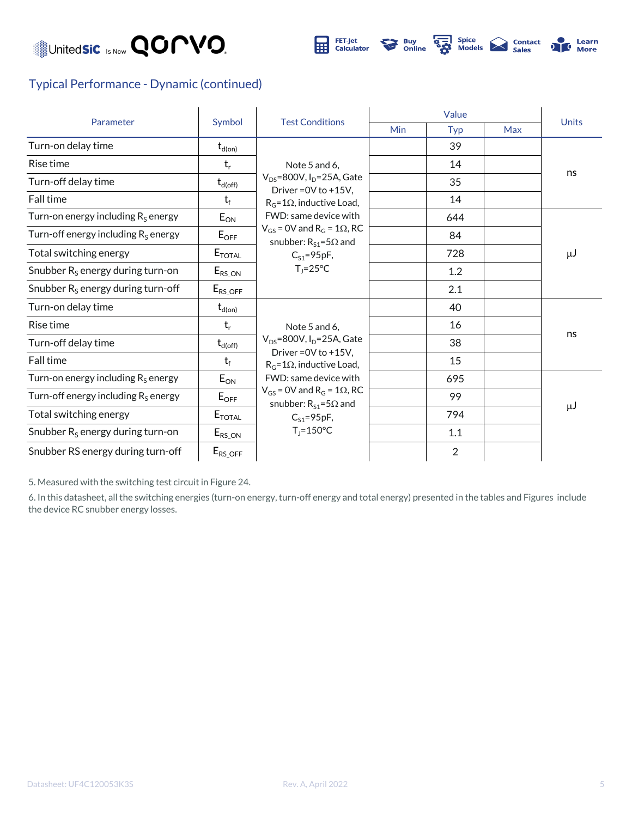



#### Typical Performance - Dynamic (continued)

| Parameter                                    | Symbol                   | <b>Test Conditions</b>                                                                                                                                                                                                  | Value |                |     |              |
|----------------------------------------------|--------------------------|-------------------------------------------------------------------------------------------------------------------------------------------------------------------------------------------------------------------------|-------|----------------|-----|--------------|
|                                              |                          |                                                                                                                                                                                                                         | Min   | Typ            | Max | <b>Units</b> |
| Turn-on delay time                           | $\mathsf{t}_{\sf d(on)}$ |                                                                                                                                                                                                                         |       | 39             |     |              |
| Rise time                                    | $t_{r}$                  | Note 5 and 6,                                                                                                                                                                                                           |       | 14             |     | ns           |
| Turn-off delay time                          | $t_{d(\text{off})}$      | $V_{DS}$ =800V, I <sub>D</sub> =25A, Gate                                                                                                                                                                               |       | 35             |     |              |
| Fall time                                    | $t_f$                    | Driver = $0V$ to $+15V$ .<br>$R_G = 1\Omega$ , inductive Load,                                                                                                                                                          |       | 14             |     |              |
| Turn-on energy including $R_S$ energy        | $E_{ON}$                 | FWD: same device with                                                                                                                                                                                                   |       | 644            |     | $\mu$ J      |
| Turn-off energy including $R_s$ energy       | $E_{\text{OFF}}$         | $V_{GS}$ = 0V and R <sub>G</sub> = 1 $\Omega$ , RC<br>snubber: $R_{S1} = 5\Omega$ and                                                                                                                                   |       | 84             |     |              |
| Total switching energy                       | $E_{\text{TOTAL}}$       | $C_{S1} = 95pF,$<br>$T_1 = 25^{\circ}C$                                                                                                                                                                                 |       | 728            |     |              |
| Snubber R <sub>s</sub> energy during turn-on | $E_{RS\_ON}$             |                                                                                                                                                                                                                         |       | 1.2            |     |              |
| Snubber $R_s$ energy during turn-off         | $E_{RS\_OFF}$            |                                                                                                                                                                                                                         |       | 2.1            |     |              |
| Turn-on delay time                           | $t_{d(on)}$              |                                                                                                                                                                                                                         |       | 40             |     |              |
| Rise time                                    | $t_{r}$                  | Note 5 and 6.                                                                                                                                                                                                           |       | 16             |     |              |
| Turn-off delay time                          | $t_{d(off)}$             | $V_{DS}$ =800V, I <sub>D</sub> =25A, Gate                                                                                                                                                                               |       | 38             |     | ns           |
| Fall time                                    | $t_f$                    | Driver = 0V to +15V,<br>$R_G = 1\Omega$ , inductive Load,<br>FWD: same device with<br>$V_{GS}$ = 0V and R <sub>G</sub> = 1 $\Omega$ , RC<br>snubber: $R_{S1} = 5\Omega$ and<br>$C_{S1} = 95pF,$<br>$T_i = 150^{\circ}C$ |       | 15             |     |              |
| Turn-on energy including $R_s$ energy        | $E_{ON}$                 |                                                                                                                                                                                                                         |       | 695            |     |              |
| Turn-off energy including $R_s$ energy       | $E_{\text{OFF}}$         |                                                                                                                                                                                                                         |       | 99             |     | μJ           |
| Total switching energy                       | $E_{\text{TOTAL}}$       |                                                                                                                                                                                                                         |       | 794            |     |              |
| Snubber $R_s$ energy during turn-on          | $E_{RS\_ON}$             |                                                                                                                                                                                                                         |       | 1.1            |     |              |
| Snubber RS energy during turn-off            | $E_{RS\_OFF}$            |                                                                                                                                                                                                                         |       | $\overline{2}$ |     |              |

5. Measured with the switching test circuit in Figure 24.

6. In this datasheet, all the switching energies (turn-on energy, turn-off energy and total energy) presented in the tables and Figures include the device RC snubber energy losses.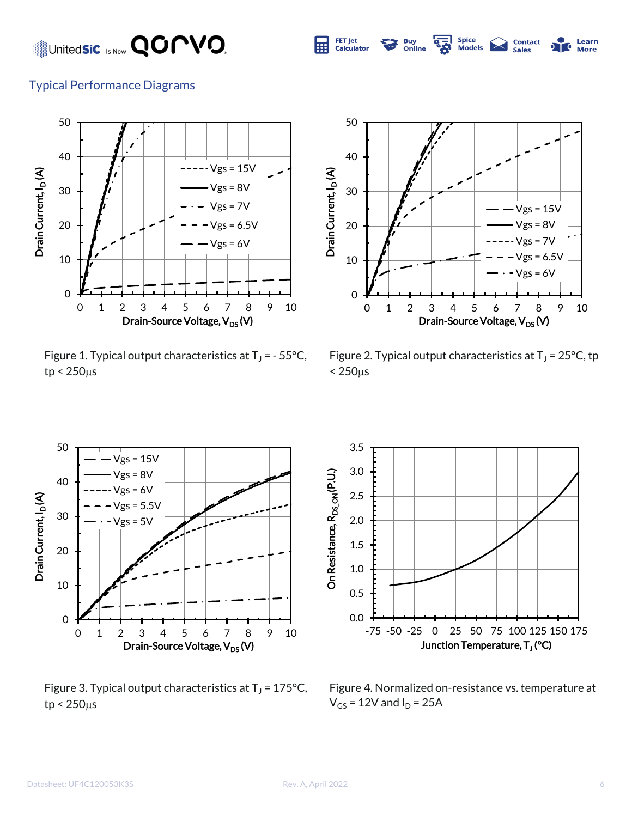

Typical Performance Diagrams



Figure 1. Typical output characteristics at  $T_J$  = - 55°C,  $tp < 250 \mu s$ 



**Contact**<br>Sales

Learn

Figure 2. Typical output characteristics at  $T_J$  = 25°C, tp  $< 250 \mu s$ 



Figure 3. Typical output characteristics at  $T_J$  = 175°C,  $tp < 250 \mu s$ 



Figure 4. Normalized on-resistance vs. temperature at  $V_{GS}$  = 12V and  $I_D$  = 25A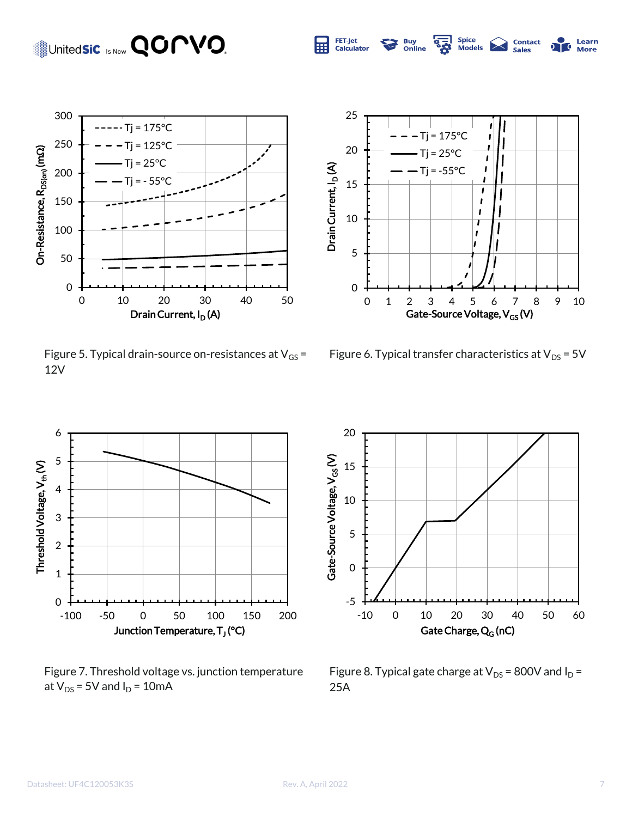

Figure 5. Typical drain-source on-resistances at  $V_{GS}$  = 12V



्<br>छैं

**Buy<br>Online** 

FET-Jet

Calculator

屈

Spice<br>Models

**Contact**<br>Sales

Learn

**More** 

 $\overline{\mathbf{c}}$ 

Figure 6. Typical transfer characteristics at  $V_{DS}$  = 5V



Figure 7. Threshold voltage vs. junction temperature at  $V_{DS}$  = 5V and  $I_D$  = 10mA



Figure 8. Typical gate charge at  $V_{DS}$  = 800V and  $I_D$  = 25A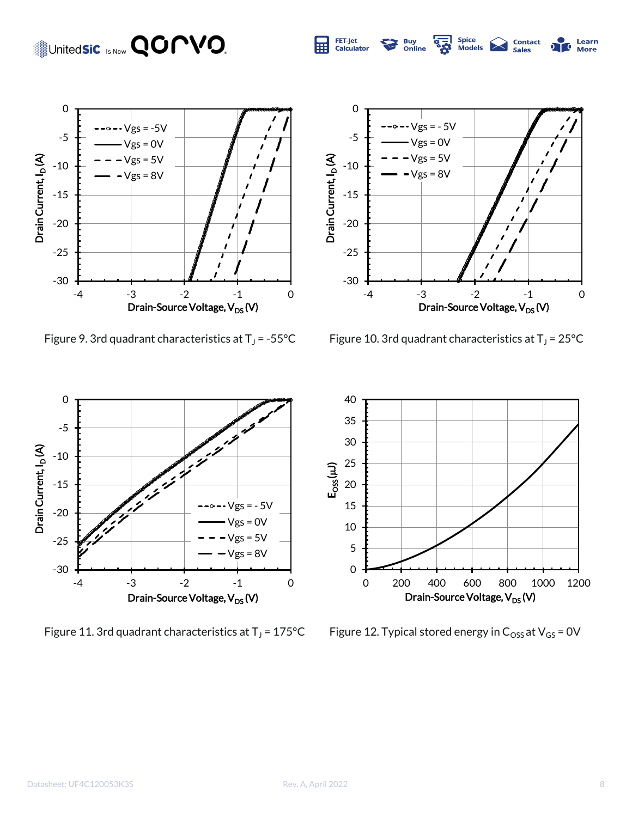





ून<br>ठ

**Buy**<br>Online

Spice<br>Models

**Contact**<br>Sales

Learn

70 **More** 

FET-Jet<br>Calculator

旺

Figure 10. 3rd quadrant characteristics at  $T_J$  = 25°C



Figure 11. 3rd quadrant characteristics at  $T_J$  = 175°C



Figure 12. Typical stored energy in  $C_{\text{OSS}}$  at  $V_{\text{GS}}$  = 0V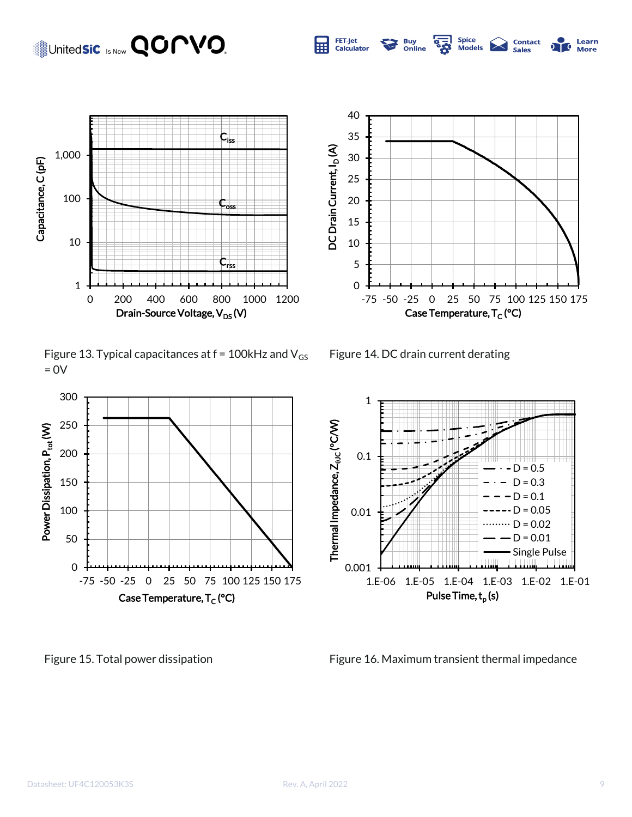

Figure 13. Typical capacitances at  $f = 100$ kHz and  $V_{GS}$  $= 0V$ 





**S2** 

**Buy<br>Online** 

FET-Jet

**Calculator** 

Spice<br>Models

**Contact**<br>Sales

Learn

**More** 

Figure 14. DC drain current derating



Figure 15. Total power dissipation Figure 16. Maximum transient thermal impedance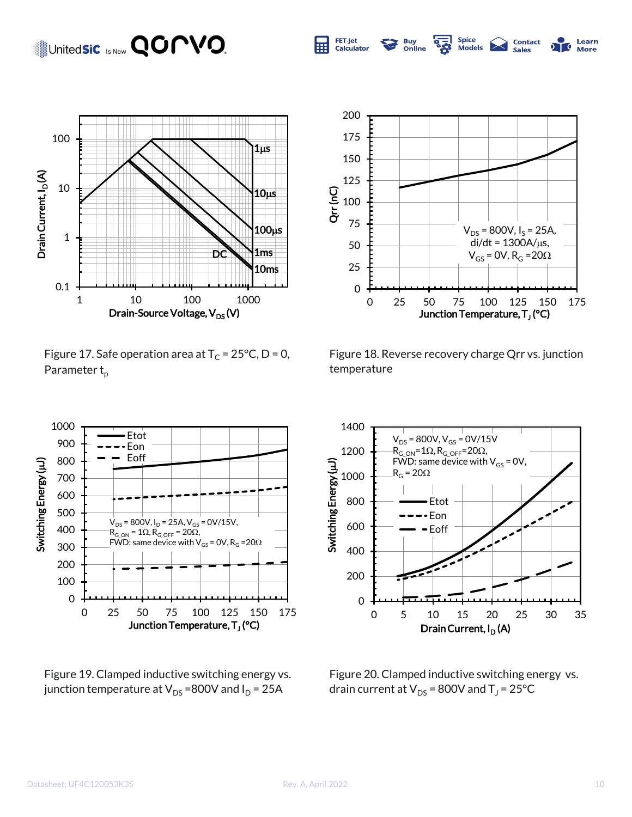

Figure 17. Safe operation area at  $T_c = 25^{\circ}C$ , D = 0, Parameter  $t_{p}$ 



**零** 

**Buy**<br>Online

**Spice** 

**Models** 

**Contact** 

Sales

Learn  $\mathbf{C}$ 

**More** 

FET-Jet

**Calculator** 

Figure 18. Reverse recovery charge Qrr vs. junction temperature



Figure 19. Clamped inductive switching energy vs. junction temperature at  $V_{DS}$  =800V and  $I_D$  = 25A



Figure 20. Clamped inductive switching energy vs. drain current at  $\mathsf{V}_\mathsf{DS}$  = 800V and T $_\mathsf{J}$  = 25°C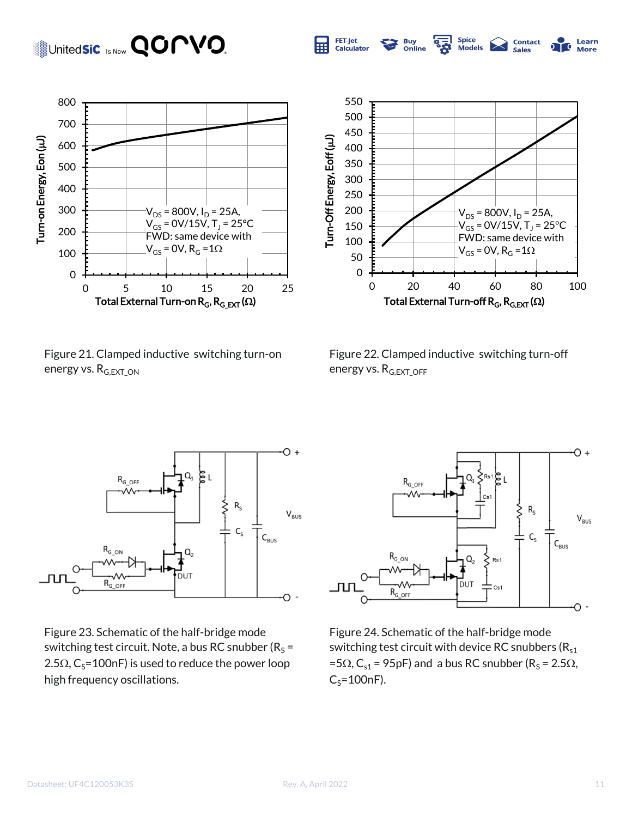

Figure 21. Clamped inductive switching turn-on energy vs. R<sub>G,EXT</sub> ON



**Spice** 

**Models** 

**Contact**<br>Sales

Learn 70

**More** 

'အို

**Buy<br>Online** 

FET-Jet

Calculator

Figure 22. Clamped inductive switching turn-off energy vs. R<sub>G,EXT</sub> OFF



Figure 23. Schematic of the half-bridge mode switching test circuit. Note, a bus RC snubber ( $R_S$  = 2.5 $\Omega$ , C<sub>S</sub>=100nF) is used to reduce the power loop high frequency oscillations.



Figure 24. Schematic of the half-bridge mode switching test circuit with device RC snubbers ( $R_{s1}$ ) =5 $\Omega$ , C<sub>s1</sub> = 95pF) and a bus RC snubber (R<sub>S</sub> = 2.5 $\Omega$ ,  $C_S$ =100nF).